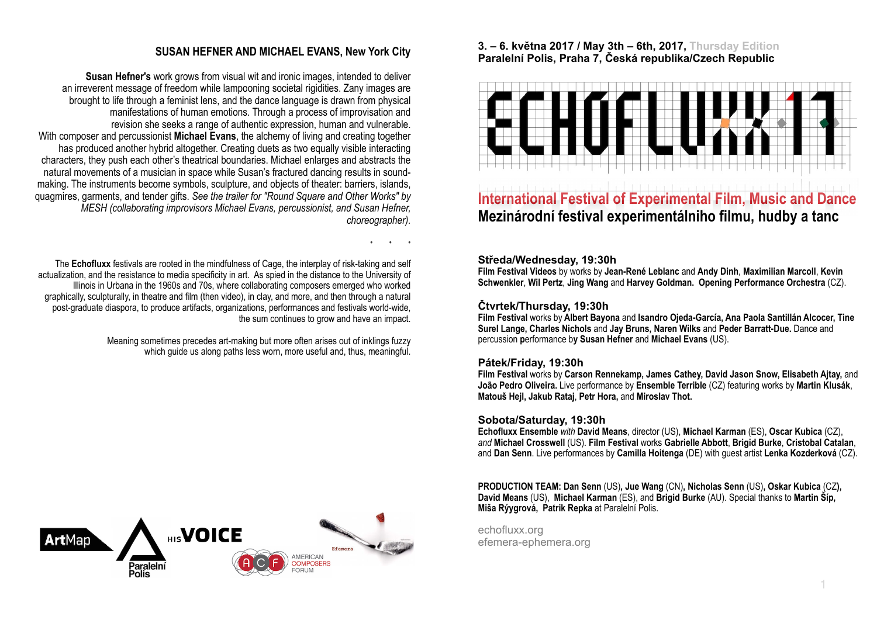## **SUSAN HEFNER AND MICHAEL EVANS, New York City**

• • •

**Susan Hefner's** work grows from visual wit and ironic images, intended to deliver an irreverent message of freedom while lampooning societal rigidities. Zany images are brought to life through a feminist lens, and the dance language is drawn from physical manifestations of human emotions. Through a process of improvisation and revision she seeks a range of authentic expression, human and vulnerable. With composer and percussionist **Michael Evans**, the alchemy of living and creating together has produced another hybrid altogether. Creating duets as two equally visible interacting characters, they push each other's theatrical boundaries. Michael enlarges and abstracts the natural movements of a musician in space while Susan's fractured dancing results in soundmaking. The instruments become symbols, sculpture, and objects of theater: barriers, islands, quagmires, garments, and tender gifts. *See the trailer for "Round Square and Other Works" by MESH (collaborating improvisors Michael Evans, percussionist, and Susan Hefner, choreographer).*

The **Echofluxx** festivals are rooted in the mindfulness of Cage, the interplay of risk-taking and self actualization, and the resistance to media specificity in art. As spied in the distance to the University of Illinois in Urbana in the 1960s and 70s, where collaborating composers emerged who worked graphically, sculpturally, in theatre and film (then video), in clay, and more, and then through a natural post-graduate diaspora, to produce artifacts, organizations, performances and festivals world-wide, the sum continues to grow and have an impact.

> Meaning sometimes precedes art-making but more often arises out of inklings fuzzy which quide us along paths less worn, more useful and, thus, meaningful.



## **3. – 6. května 2017 / May 3th – 6th, 2017, Thursday Edition Paralelní Polis, Praha 7, Česká republika/Czech Republic**



# **International Festival of Experimental Film, Music and Dance Mezinárodní festival experimentálniho filmu, hudby a tanc**

## **Středa/Wednesday, 19:30h**

**Film Festival Videos** by works by **Jean-René Leblanc** and **Andy Dinh**, **Maximilian Marcoll**, **Kevin Schwenkler**, **Wil Pertz**, **Jing Wang** and **Harvey Goldman. Opening Performance Orchestra** (CZ).

## **Čtvrtek/Thursday, 19:30h**

**Film Festival** works by **Albert Bayona** and **Isandro Ojeda-García, Ana Paola Santillán Alcocer, Tine Surel Lange, Charles Nichols** and **Jay Bruns, Naren Wilks** and **Peder Barratt-Due.** Dance and percussion **p**erformance b**y Susan Hefner** and **Michael Evans** (US).

### **Pátek/Friday, 19:30h**

**Film Festival** works by **Carson Rennekamp, James Cathey, David Jason Snow, Elisabeth Ajtay,** and **João Pedro Oliveira.** Live performance by **Ensemble Terrible** (CZ) featuring works by **Martin Klusák**, **[Matou](http://www.matoushejl.com/)š Hejl, Jakub Rataj**, **Petr Hora,** and **Miroslav Thot.**

### **Sobota/Saturday, 19:30h**

**Echofluxx Ensemble** *with* **David Means**, director (US), **Michael Karman** (ES), **Oscar Kubica** (CZ), *and* **Michael Crosswell** (US). **Film Festival** works **Gabrielle Abbott**, **Brigid Burke**, **Cristobal Catalan**, and **Dan Senn**. Live performances by **Camilla Hoitenga** (DE) with guest artist **Lenka Kozderková** (CZ).

**PRODUCTION TEAM: Dan Senn** (US)**, Jue Wang** (CN)**, Nicholas Senn** (US)**, Oskar Kubica** (CZ**), David Means** (US), **Michael Karman** (ES), and **Brigid Burke** (AU). Special thanks to **Martin Šíp, Miša Rýygrová, Patrik Repka** at Paralelní Polis.

echofluxx.org efemera-ephemera.org